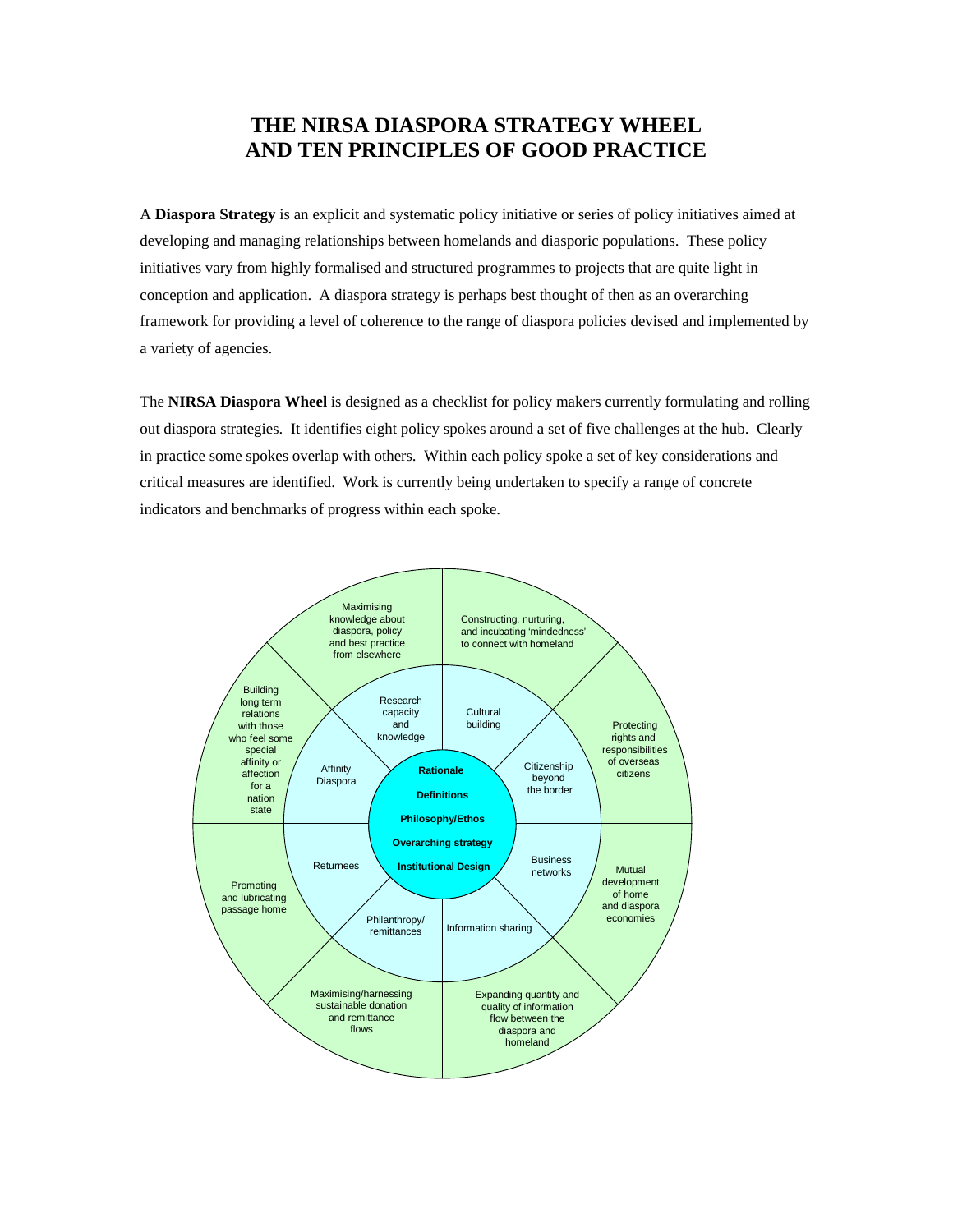# **THE NIRSA DIASPORA STRATEGY WHEEL AND TEN PRINCIPLES OF GOOD PRACTICE**

A **Diaspora Strategy** is an explicit and systematic policy initiative or series of policy initiatives aimed at developing and managing relationships between homelands and diasporic populations. These policy initiatives vary from highly formalised and structured programmes to projects that are quite light in conception and application. A diaspora strategy is perhaps best thought of then as an overarching framework for providing a level of coherence to the range of diaspora policies devised and implemented by a variety of agencies.

The **NIRSA Diaspora Wheel** is designed as a checklist for policy makers currently formulating and rolling out diaspora strategies. It identifies eight policy spokes around a set of five challenges at the hub. Clearly in practice some spokes overlap with others. Within each policy spoke a set of key considerations and critical measures are identified. Work is currently being undertaken to specify a range of concrete indicators and benchmarks of progress within each spoke.

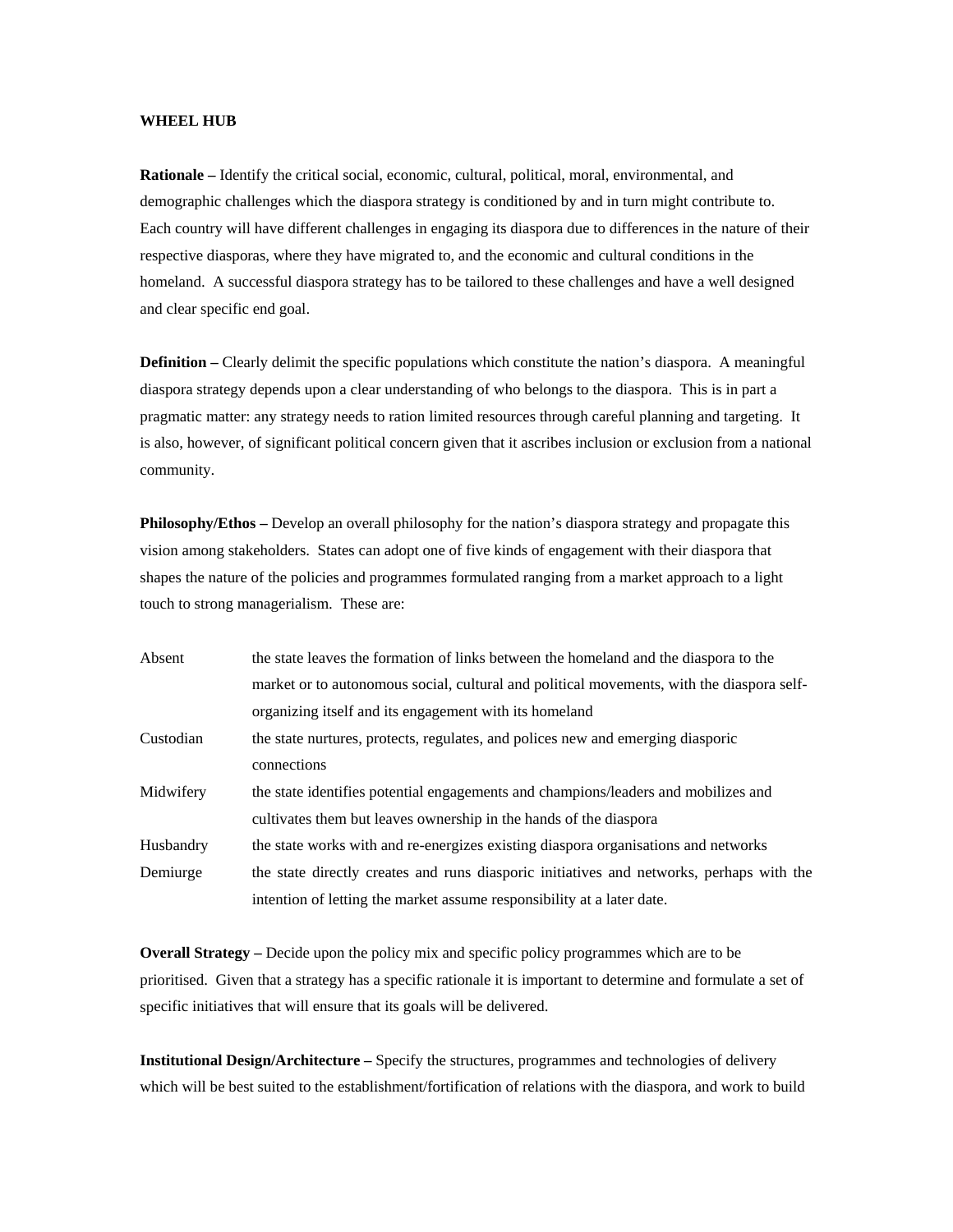### **WHEEL HUB**

Each country will have different challenges in engaging its diaspora due to differences in the nature of their homeland. A successful diaspora strategy has to be tailored to these challenges and have a well designed and clear specific end goal. **Rationale –** Identify the critical social, economic, cultural, political, moral, environmental, and demographic challenges which the diaspora strategy is conditioned by and in turn might contribute to. respective diasporas, where they have migrated to, and the economic and cultural conditions in the

**Definition** – Clearly delimit the specific populations which constitute the nation's diaspora. A meaningful is also, however, of significant political concern given that it ascribes inclusion or exclusion from a national community. diaspora strategy depends upon a clear understanding of who belongs to the diaspora. This is in part a pragmatic matter: any strategy needs to ration limited resources through careful planning and targeting. It

**Philosophy/Ethos** – Develop an overall philosophy for the nation's diaspora strategy and propagate this shapes the nature of the policies and programmes formulated ranging from a market approach to a light touch to strong managerialism. These are: vision among stakeholders. States can adopt one of five kinds of engagement with their diaspora that

| Absent    | the state leaves the formation of links between the homeland and the diaspora to the      |
|-----------|-------------------------------------------------------------------------------------------|
|           | market or to autonomous social, cultural and political movements, with the diaspora self- |
|           | organizing itself and its engagement with its homeland                                    |
| Custodian | the state nurtures, protects, regulates, and polices new and emerging diasporic           |
|           | connections                                                                               |
| Midwifery | the state identifies potential engagements and champions/leaders and mobilizes and        |
|           | cultivates them but leaves ownership in the hands of the diaspora                         |
| Husbandry | the state works with and re-energizes existing diaspora organisations and networks        |
| Demiurge  | the state directly creates and runs diasporic initiatives and networks, perhaps with the  |
|           | intention of letting the market assume responsibility at a later date.                    |

prioritised. Given that a strategy has a specific rationale it is important to determine and formulate a set of specific initiatives that will ensure that its goals will be delivered. **Overall Strategy –** Decide upon the policy mix and specific policy programmes which are to be

which will be best suited to the establishment/fortification of relations with the diaspora, and work to build **Institutional Design/Architecture –** Specify the structures, programmes and technologies of delivery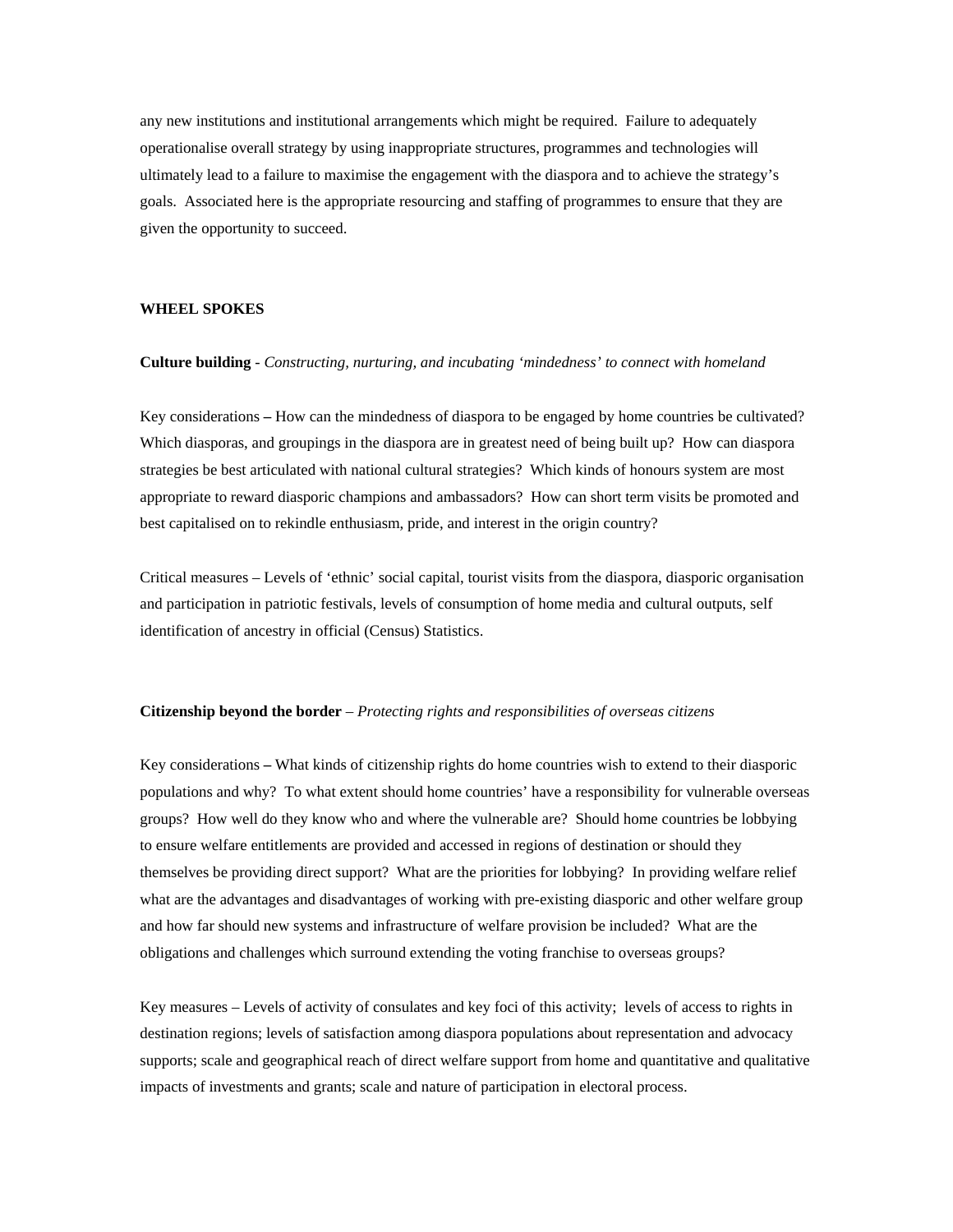any new institutions and institutional arrangements which might be required. Failure to adequately operationalise overall strategy by using inappropriate structures, programmes and technologies will ultimately lead to a failure to maximise the engagement with the diaspora and to achieve the strategy's goals. Associated here is the appropriate resourcing and staffing of programmes to ensure that they are given the opportunity to succeed.

### **HEEL SPOKES W**

### **Culture building** - *Constructing, nurturing, and incubating 'mindedness' to connect with homeland*

Key considerations **–** How can the mindedness of diaspora to be engaged by home countries be cultivated? Which diasporas, and groupings in the diaspora are in greatest need of being built up? How can diaspora strategies be best articulated with national cultural strategies? Which kinds of honours system are most appropriate to reward diasporic champions and ambassadors? How can short term visits be promoted and best capitalised on to rekindle enthusiasm, pride, and interest in the origin country?

Critical measures – Levels of 'ethnic' social capital, tourist visits from the diaspora, diasporic organisation and participation in patriotic festivals, levels of consumption of home media and cultural outputs, self identification of ancestry in official (Census) Statistics.

### Citizenship beyond the border – *Protecting rights and responsibilities of overseas citizens*

populations and why? To what extent should home countries' have a responsibility for vulnerable overseas groups? How well do they know who and where the vulnerable are? Should home countries be lobbying what are the advantages and disadvantages of working with pre-existing diasporic and other welfare group and how far should new systems and infrastructure of welfare provision be included? What are the obligations and challenges which surround extending the voting franchise to overseas groups? Key considerations **–** What kinds of citizenship rights do home countries wish to extend to their diasporic to ensure welfare entitlements are provided and accessed in regions of destination or should they themselves be providing direct support? What are the priorities for lobbying? In providing welfare relief

supports; scale and geographical reach of direct welfare support from home and quantitative and qualitative impacts of investments and grants; scale and nature of participation in electoral process. Key measures – Levels of activity of consulates and key foci of this activity; levels of access to rights in destination regions; levels of satisfaction among diaspora populations about representation and advocacy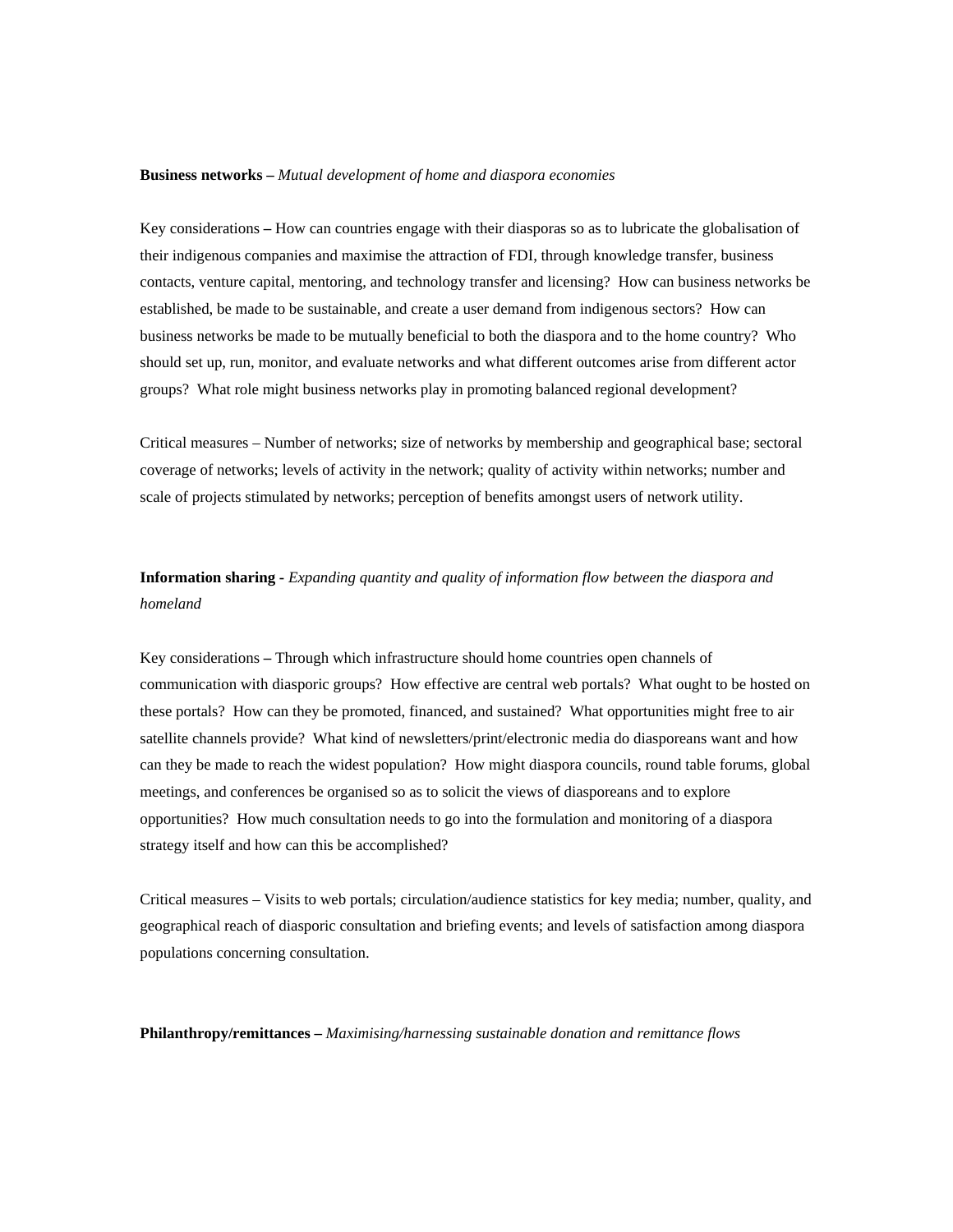#### **Business networks –** *Mutual development of home and diaspora economies*

Key considerations – How can countries engage with their diasporas so as to lubricate the globalisation of contacts, venture capital, mentoring, and technology transfer and licensing? How can business networks be should set up, run, monitor, and evaluate networks and what different outcomes arise from different actor groups? What role might business networks play in promoting balanced regional development? their indigenous companies and maximise the attraction of FDI, through knowledge transfer, business established, be made to be sustainable, and create a user demand from indigenous sectors? How can business networks be made to be mutually beneficial to both the diaspora and to the home country? Who

Critical measures – Number of networks; size of networks by membership and geographical base; sectoral scale of projects stimulated by networks; perception of benefits amongst users of network utility. coverage of networks; levels of activity in the network; quality of activity within networks; number and

# **Information sharing -** *Expanding quantity and quality of information flow between the diaspora and omeland h*

communication with diasporic groups? How effective are central web portals? What ought to be hosted on can they be made to reach the widest population? How might diaspora councils, round table forums, global opportunities? How much consultation needs to go into the formulation and monitoring of a diaspora strategy itself and how can this be accomplished? Key considerations **–** Through which infrastructure should home countries open channels of these portals? How can they be promoted, financed, and sustained? What opportunities might free to air satellite channels provide? What kind of newsletters/print/electronic media do diasporeans want and how meetings, and conferences be organised so as to solicit the views of diasporeans and to explore

geographical reach of diasporic consultation and briefing events; and levels of satisfaction among diaspora populations concerning consultation. Critical measures – Visits to web portals; circulation/audience statistics for key media; number, quality, and

**hilanthropy/remittances –** *Maximising/harnessing sustainable donation and remittance flows*  **P**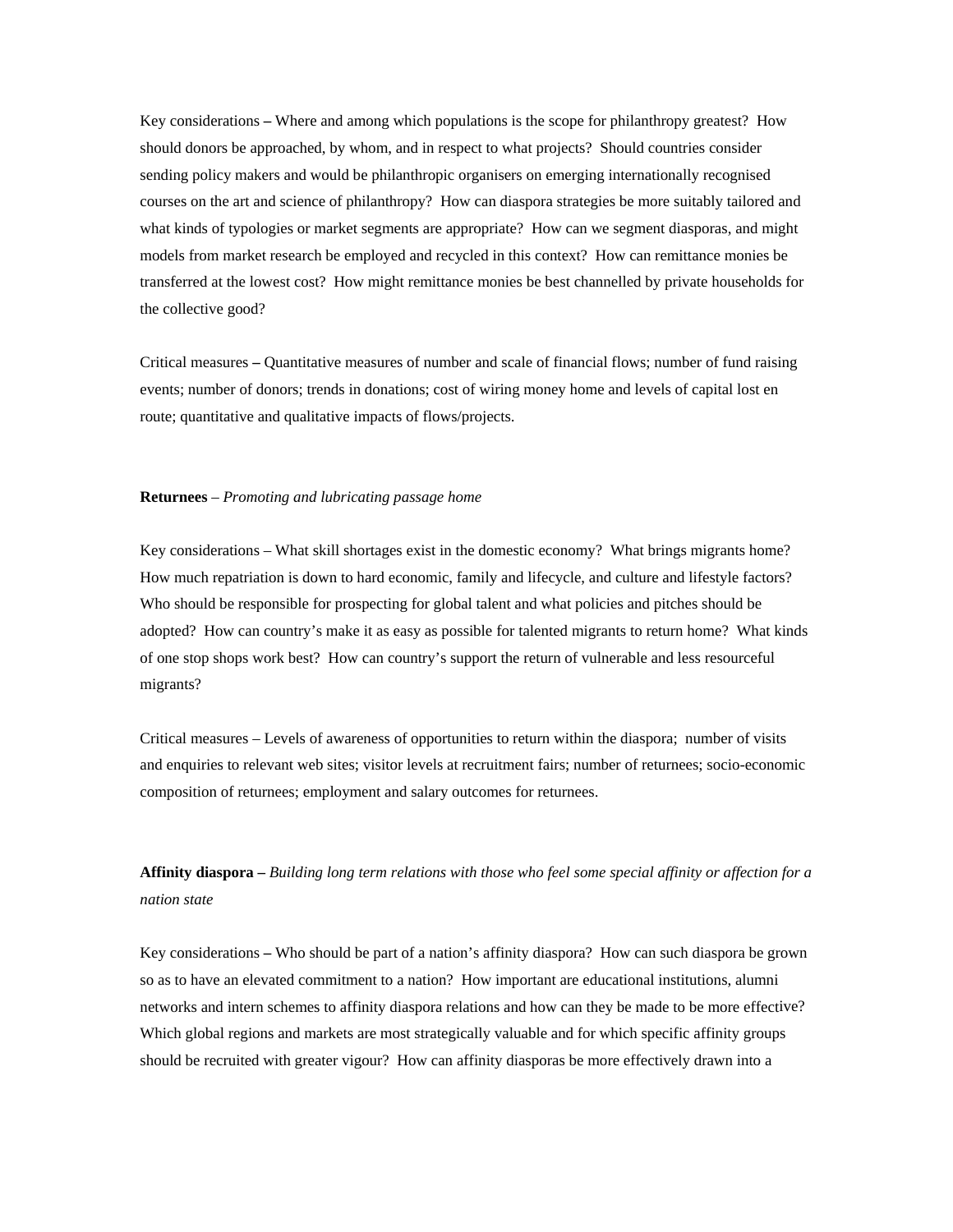Key considerations **–** Where and among which populations is the scope for philanthropy greatest? How should donors be approached, by whom, and in respect to what projects? Should countries consider sending policy makers and would be philanthropic organisers on emerging internationally recognised courses on the art and science of philanthropy? How can diaspora strategies be more suitably tailored and what kinds of typologies or market segments are appropriate? How can we segment diasporas, and might models from market research be employed and recycled in this context? How can remittance monies be transferred at the lowest cost? How might remittance monies be best channelled by private households for the collective good?

Critical measures – Quantitative measures of number and scale of financial flows; number of fund raising events; number of donors; trends in donations; cost of wiring money home and levels of capital lost en route; quantitative and qualitative impacts of flows/projects.

### **Returnees** – *Promoting and lubricating passage home*

Key considerations – What skill shortages exist in the domestic economy? What brings migrants home? adopted? How can country's make it as easy as possible for talented migrants to return home? What kinds of one stop shops work best? How can country's support the return of vulnerable and less resourceful How much repatriation is down to hard economic, family and lifecycle, and culture and lifestyle factors? Who should be responsible for prospecting for global talent and what policies and pitches should be migrants?

Critical measures – Levels of awareness of opportunities to return within the diaspora; number of visits and enquiries to relevant web sites; visitor levels at recruitment fairs; number of returnees; socio-economic omposition of returnees; employment and salary outcomes for returnees. c

**ffinity diaspora –** *Building long term relations with those who feel some special affinity or affection for a*  **A** *nation state* 

networks and intern schemes to affinity diaspora relations and how can they be made to be more effective? should be recruited with greater vigour? How can affinity diasporas be more effectively drawn into a Key considerations **–** Who should be part of a nation's affinity diaspora? How can such diaspora be grown so as to have an elevated commitment to a nation? How important are educational institutions, alumni Which global regions and markets are most strategically valuable and for which specific affinity groups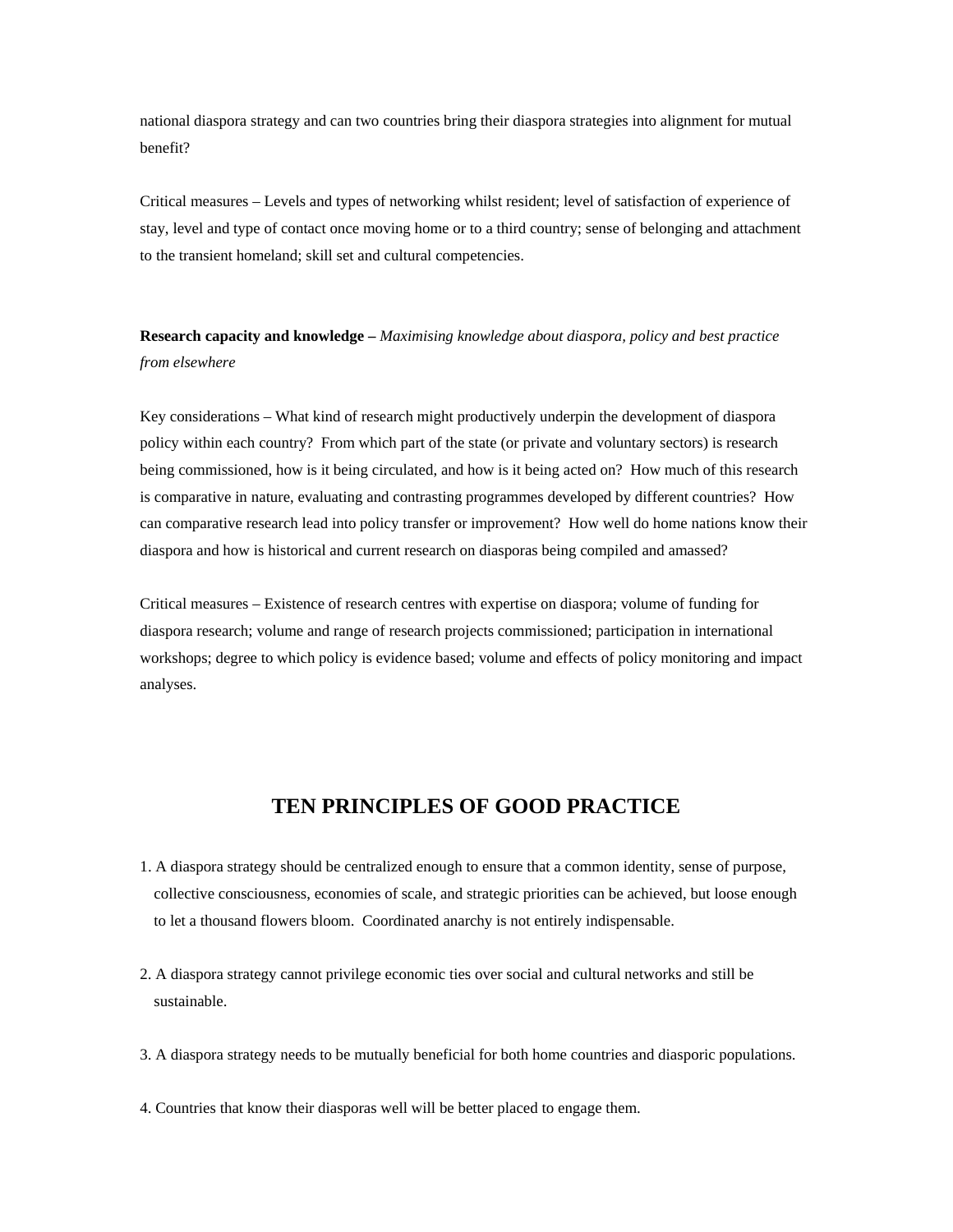national diaspora strategy and can two countries bring their diaspora strategies into alignment for mutual benefit?

Critical measures – Levels and types of networking whilst resident; level of satisfaction of experience of stay, level and type of contact once moving home or to a third country; sense of belonging and attachment to the transient homeland; skill set and cultural competencies.

**Research capacity and knowledge –** *Maximising knowledge about diaspora, policy and best practice from elsewhere* 

being commissioned, how is it being circulated, and how is it being acted on? How much of this research is comparative in nature, evaluating and contrasting programmes developed by different countries? How can comparative research lead into policy transfer or improvement? How well do home nations know their Key considerations – What kind of research might productively underpin the development of diaspora policy within each country? From which part of the state (or private and voluntary sectors) is research diaspora and how is historical and current research on diasporas being compiled and amassed?

Critical measures – Existence of research centres with expertise on diaspora; volume of funding for diaspora research; volume and range of research projects commissioned; participation in international workshops; degree to which policy is evidence based; volume and effects of policy monitoring and impact analyses.

# **TEN PRINCIPLES OF GOOD PRACTICE**

- . A diaspora strategy should be centralized enough to ensure that a common identity, sense of purpose, 1 collective consciousness, economies of scale, and strategic priorities can be achieved, but loose enough to let a thousand flowers bloom. Coordinated anarchy is not entirely indispensable.
- sustainable. 2. A diaspora strategy cannot privilege economic ties over social and cultural networks and still be
- . A diaspora strategy needs to be mutually beneficial for both home countries and diasporic populations. 3
- 4. Countries that know their diasporas well will be better placed to engage them.